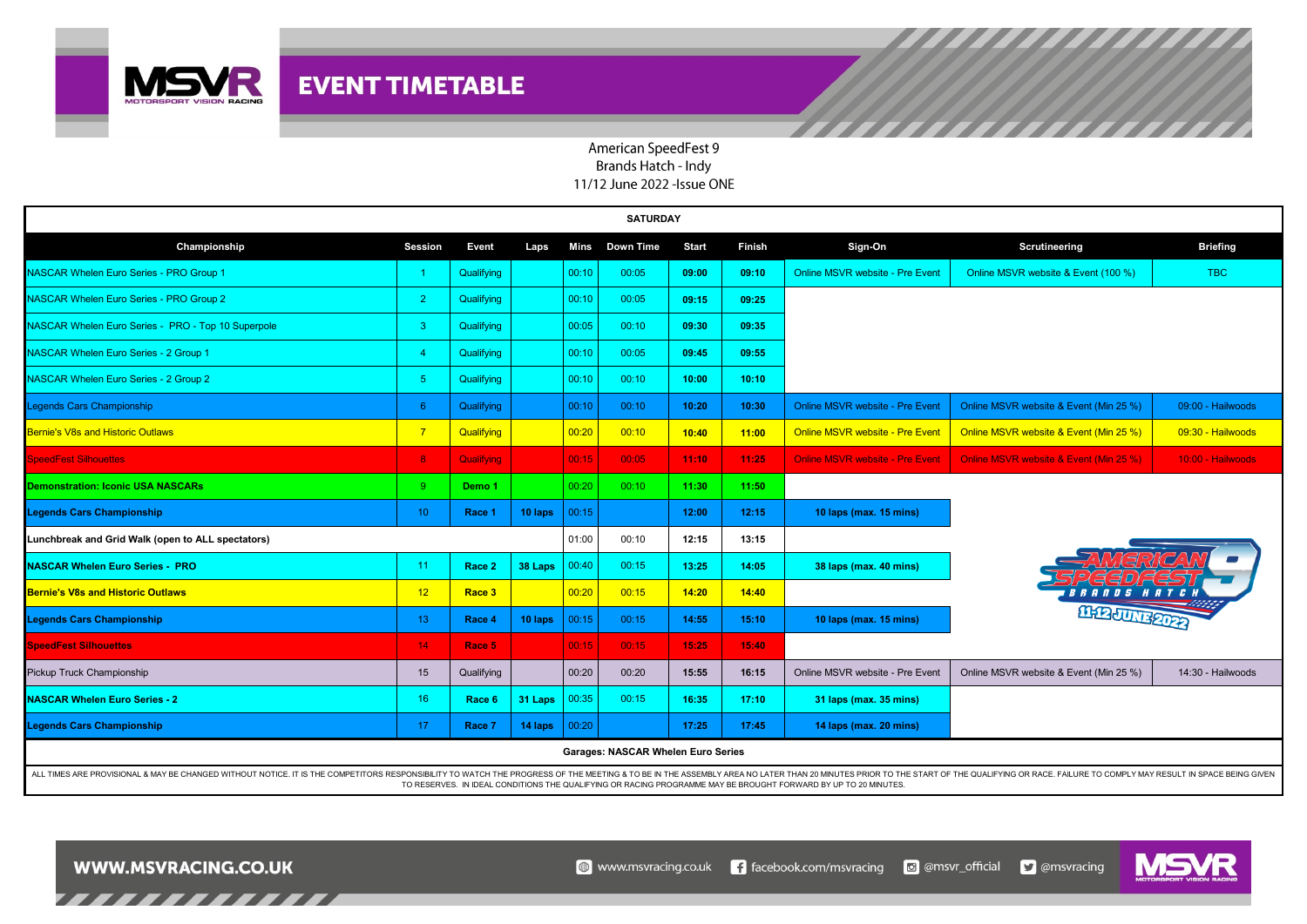

## American SpeedFest 9 Brands Hatch - Indy 11/12 June 2022 - Issue ONE

| <b>SATURDAY</b>                                                                                                                                                                                                                                                                                                                                  |                 |                   |         |       |                  |              |               |                                        |                                        |                   |  |  |
|--------------------------------------------------------------------------------------------------------------------------------------------------------------------------------------------------------------------------------------------------------------------------------------------------------------------------------------------------|-----------------|-------------------|---------|-------|------------------|--------------|---------------|----------------------------------------|----------------------------------------|-------------------|--|--|
| Championship                                                                                                                                                                                                                                                                                                                                     | Session         | Event             | Laps    | Mins  | <b>Down Time</b> | <b>Start</b> | <b>Finish</b> | Sign-On                                | Scrutineering                          | <b>Briefing</b>   |  |  |
| <b>NASCAR Whelen Euro Series - PRO Group 1</b>                                                                                                                                                                                                                                                                                                   |                 | Qualifying        |         | 00:10 | 00:05            | 09:00        | 09:10         | <b>Online MSVR website - Pre Event</b> | Online MSVR website & Event (100 %)    | <b>TBC</b>        |  |  |
| NASCAR Whelen Euro Series - PRO Group 2                                                                                                                                                                                                                                                                                                          | $\overline{2}$  | Qualifying        |         | 00:10 | 00:05            | 09:15        | 09:25         |                                        |                                        |                   |  |  |
| NASCAR Whelen Euro Series - PRO - Top 10 Superpole                                                                                                                                                                                                                                                                                               | 3               | Qualifying        |         | 00:05 | 00:10            | 09:30        | 09:35         |                                        |                                        |                   |  |  |
| NASCAR Whelen Euro Series - 2 Group 1                                                                                                                                                                                                                                                                                                            | -4              | Qualifying        |         | 00:10 | 00:05            | 09:45        | 09:55         |                                        |                                        |                   |  |  |
| NASCAR Whelen Euro Series - 2 Group 2                                                                                                                                                                                                                                                                                                            | -5.             | Qualifying        |         | 00:10 | 00:10            | 10:00        | 10:10         |                                        |                                        |                   |  |  |
| Legends Cars Championship                                                                                                                                                                                                                                                                                                                        | 6               | Qualifying        |         | 00:10 | 00:10            | 10:20        | 10:30         | <b>Online MSVR website - Pre Event</b> | Online MSVR website & Event (Min 25 %) | 09:00 - Hailwoods |  |  |
| <b>Bernie's V8s and Historic Outlaws</b>                                                                                                                                                                                                                                                                                                         | $\overline{7}$  | Qualifying        |         | 00:20 | 00:10            | 10:40        | 11:00         | <b>Online MSVR website - Pre Event</b> | Online MSVR website & Event (Min 25 %) | 09:30 - Hailwoods |  |  |
| <b>SpeedFest Silhouettes</b>                                                                                                                                                                                                                                                                                                                     | 8               | Qualifying        |         | 00:15 | 00:05            | 11:10        | 11:25         | <b>Online MSVR website - Pre Event</b> | Online MSVR website & Event (Min 25 %) | 10:00 - Hailwoods |  |  |
| Demonstration: Iconic USA NASCARs                                                                                                                                                                                                                                                                                                                | 9               | Demo <sub>1</sub> |         | 00:20 | 00:10            | 11:30        | 11:50         |                                        |                                        |                   |  |  |
| <b>Legends Cars Championship</b>                                                                                                                                                                                                                                                                                                                 | 10 <sup>1</sup> | Race 1            | 10 laps | 00:15 |                  | 12:00        | 12:15         | 10 laps (max. 15 mins)                 |                                        |                   |  |  |
| Lunchbreak and Grid Walk (open to ALL spectators)                                                                                                                                                                                                                                                                                                |                 |                   |         | 01:00 | 00:10            | 12:15        | 13:15         |                                        |                                        |                   |  |  |
| <b>NASCAR Whelen Euro Series - PRO</b>                                                                                                                                                                                                                                                                                                           | 11              | Race 2            | 38 Laps | 00:40 | 00:15            | 13:25        | 14:05         | 38 laps (max. 40 mins)                 |                                        |                   |  |  |
| <b>Bernie's V8s and Historic Outlaws</b>                                                                                                                                                                                                                                                                                                         | 12              | Race <sub>3</sub> |         | 00:20 | 00:15            | 14:20        | 14:40         |                                        |                                        |                   |  |  |
| <b>Legends Cars Championship</b>                                                                                                                                                                                                                                                                                                                 | 13 <sup>°</sup> | Race 4            | 10 laps | 00:15 | 00:15            | 14:55        | 15:10         | 10 laps (max. 15 mins)                 | <b>MARJUNE 2022</b>                    |                   |  |  |
| <b>SpeedFest Silhouettes</b>                                                                                                                                                                                                                                                                                                                     | 14 <sub>1</sub> | Race 5            |         | 00:15 | 00:15            | 15:25        | 15:40         |                                        |                                        |                   |  |  |
| Pickup Truck Championship                                                                                                                                                                                                                                                                                                                        | 15              | Qualifying        |         | 00:20 | 00:20            | 15:55        | 16:15         | Online MSVR website - Pre Event        | Online MSVR website & Event (Min 25 %) | 14:30 - Hailwoods |  |  |
| <b>NASCAR Whelen Euro Series - 2</b>                                                                                                                                                                                                                                                                                                             | 16              | Race 6            | 31 Laps | 00:35 | 00:15            | 16:35        | 17:10         | 31 laps (max. 35 mins)                 |                                        |                   |  |  |
| <b>Legends Cars Championship</b>                                                                                                                                                                                                                                                                                                                 | 17 <sup>2</sup> | Race 7            | 14 laps | 00:20 |                  | 17:25        | 17:45         | 14 laps (max. 20 mins)                 |                                        |                   |  |  |
| <b>Garages: NASCAR Whelen Euro Series</b>                                                                                                                                                                                                                                                                                                        |                 |                   |         |       |                  |              |               |                                        |                                        |                   |  |  |
| ALL TIMES ARE PROVISIONAL & MAY BE CHANGED WITHOUT NOTICE. IT IS THE COMPETITORS RESPONSIBILITY TO WATCH THE PROGRESS OF THE MEETING & TO BE IN THE ASSEMBLY AREA NO LATER THAN 20 MINUTES PRIOR TO THE START OF THE QUALIFYIN<br>TO RESERVES. IN IDEAL CONDITIONS THE QUALIFYING OR RACING PROGRAMME MAY BE BROUGHT FORWARD BY UP TO 20 MINUTES |                 |                   |         |       |                  |              |               |                                        |                                        |                   |  |  |

 $\bigcirc$  www.msvracing.co.uk



**WWW.MSVRACING.CO.UK** 

,,,,,,,,,,,,,